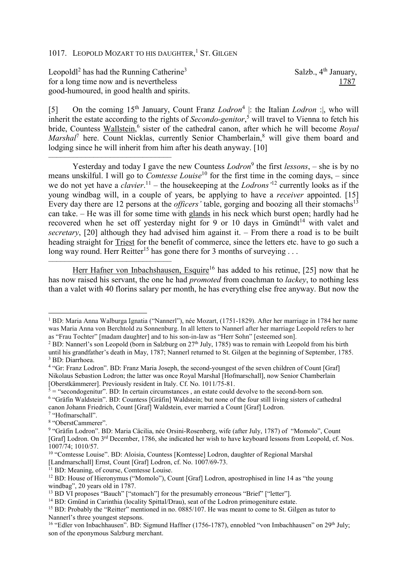## 1017. LEOPOLD MOZART TO HIS DAUGHTER,<sup>1</sup> ST. GILGEN

Leopoldl<sup>2</sup> has had the Running Catherine<sup>3</sup> for a long time now and is nevertheless 1787 good-humoured, in good health and spirits.

Salzb., 4<sup>th</sup> January,

[5] On the coming 15<sup>th</sup> January, Count Franz *Lodron*<sup>4</sup> |: the Italian *Lodron* : |, who will inherit the estate according to the rights of *Secondo-genitor*, 5 will travel to Vienna to fetch his bride, Countess Wallstein,<sup>6</sup> sister of the cathedral canon, after which he will become *Royal* Marshal<sup>7</sup> here. Count Nicklas, currently Senior Chamberlain,<sup>8</sup> will give them board and lodging since he will inherit from him after his death anyway. [10]

–––––––––––––––––––––––––––––– Yesterday and today I gave the new Countess *Lodron*<sup>9</sup> the first *lessons*, – she is by no means unskilful. I will go to *Comtesse Louise*<sup>10</sup> for the first time in the coming days, – since we do not yet have a *clavier*. <sup>11</sup> – the housekeeping at the *Lodrons'*<sup>12</sup> currently looks as if the young windbag will, in a couple of years, be applying to have a *receiver* appointed. [15] Every day there are 12 persons at the *officers'* table, gorging and boozing all their stomachs<sup>13</sup> can take. – He was ill for some time with glands in his neck which burst open; hardly had he recovered when he set off yesterday night for 9 or 10 days in Gmündt<sup>14</sup> with valet and *secretary*, [20] although they had advised him against it. – From there a road is to be built heading straight for Triest for the benefit of commerce, since the letters etc. have to go such a long way round. Herr Reitter<sup>15</sup> has gone there for 3 months of surveying ...

Herr Hafner von Inbachshausen, Esquire<sup>16</sup> has added to his retinue, [25] now that he has now raised his servant, the one he had *promoted* from coachman to *lackey*, to nothing less than a valet with 40 florins salary per month, he has everything else free anyway. But now the

l

––––––––––––––––––––––––––––––

<sup>1</sup> BD: Maria Anna Walburga Ignatia ("Nannerl"), née Mozart, (1751-1829). After her marriage in 1784 her name was Maria Anna von Berchtold zu Sonnenburg. In all letters to Nannerl after her marriage Leopold refers to her as "Frau Tochter" [madam daughter] and to his son-in-law as "Herr Sohn" [esteemed son].

<sup>&</sup>lt;sup>2</sup> BD: Nannerl's son Leopold (born in Salzburg on  $27<sup>th</sup>$  July, 1785) was to remain with Leopold from his birth until his grandfather's death in May, 1787; Nannerl returned to St. Gilgen at the beginning of September, 1785. 3 BD: Diarrhoea.

<sup>&</sup>lt;sup>4</sup> "Gr: Franz Lodron". BD: Franz Maria Joseph, the second-youngest of the seven children of Count [Graf] Nikolaus Sebastion Lodron; the latter was once Royal Marshal [Hofmarschall], now Senior Chamberlain [Oberstkämmerer]. Previously resident in Italy. Cf. No. 1011/75-81.

 $5 =$  "secondogenitur". BD: In certain circumstances, an estate could devolve to the second-born son. <sup>6</sup> "Gräfin Waldstein". BD: Countess [Gräfin] Waldstein; but none of the four still living sisters of cathedral canon Johann Friedrich, Count [Graf] Waldstein, ever married a Count [Graf] Lodron.

<sup>7</sup> "Hofmarschall".

<sup>8</sup> "OberstCammerer".

<sup>&</sup>lt;sup>9</sup> "Gräfin Lodron". BD: Maria Cäcilia, née Orsini-Rosenberg, wife (after July, 1787) of "Momolo", Count [Graf] Lodron. On 3rd December, 1786, she indicated her wish to have keyboard lessons from Leopold, cf. Nos. 1007/74; 1010/57.

<sup>&</sup>lt;sup>10</sup> "Comtesse Louise". BD: Aloisia, Countess [Komtesse] Lodron, daughter of Regional Marshal [Landmarschall] Ernst, Count [Graf] Lodron, cf. No. 1007/69-73.

<sup>&</sup>lt;sup>11</sup> BD: Meaning, of course, Comtesse Louise.

<sup>12</sup> BD: House of Hieronymus ("Momolo"), Count [Graf] Lodron, apostrophised in line 14 as "the young windbag", 20 years old in 1787.

<sup>&</sup>lt;sup>13</sup> BD VI proposes "Bauch" ["stomach"] for the presumably erroneous "Brief" ["letter"].

<sup>&</sup>lt;sup>14</sup> BD: Gmünd in Carinthia (locality Spittal/Drau), seat of the Lodron primogeniture estate.

<sup>&</sup>lt;sup>15</sup> BD: Probably the "Reitter" mentioned in no. 0885/107. He was meant to come to St. Gilgen as tutor to Nannerl's three youngest stepsons.

<sup>&</sup>lt;sup>16</sup> "Edler von Inbachhausen". BD: Sigmund Haffner (1756-1787), ennobled "von Imbachhausen" on 29<sup>th</sup> July; son of the eponymous Salzburg merchant.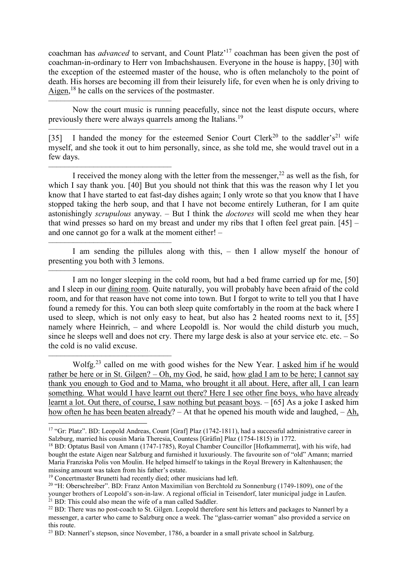coachman has *advanced* to servant, and Count Platz'<sup>17</sup> coachman has been given the post of coachman-in-ordinary to Herr von Imbachshausen. Everyone in the house is happy, [30] with the exception of the esteemed master of the house, who is often melancholy to the point of death. His horses are becoming ill from their leisurely life, for even when he is only driving to Aigen,  $^{18}$  he calls on the services of the postmaster.

–––––––––––––––––––––––––––––– Now the court music is running peacefully, since not the least dispute occurs, where previously there were always quarrels among the Italians.<sup>19</sup>

–––––––––––––––––––––––––––––– [35] I handed the money for the esteemed Senior Court Clerk<sup>20</sup> to the saddler's<sup>21</sup> wife myself, and she took it out to him personally, since, as she told me, she would travel out in a few days.

–––––––––––––––––––––––––––––– I received the money along with the letter from the messenger,  $^{22}$  as well as the fish, for which I say thank you. [40] But you should not think that this was the reason why I let you know that I have started to eat fast-day dishes again; I only wrote so that you know that I have stopped taking the herb soup, and that I have not become entirely Lutheran, for I am quite astonishingly *scrupulous* anyway. – But I think the *doctores* will scold me when they hear that wind presses so hard on my breast and under my ribs that I often feel great pain. [45] – and one cannot go for a walk at the moment either! –

–––––––––––––––––––––––––––––– I am sending the pillules along with this, – then I allow myself the honour of presenting you both with 3 lemons.

I am no longer sleeping in the cold room, but had a bed frame carried up for me, [50] and I sleep in our dining room. Quite naturally, you will probably have been afraid of the cold room, and for that reason have not come into town. But I forgot to write to tell you that I have found a remedy for this. You can both sleep quite comfortably in the room at the back where I used to sleep, which is not only easy to heat, but also has 2 heated rooms next to it, [55] namely where Heinrich, – and where Leopoldl is. Nor would the child disturb you much, since he sleeps well and does not cry. There my large desk is also at your service etc. etc. – So the cold is no valid excuse.

–––––––––––––––––––––––––––––– Wolfg.<sup>23</sup> called on me with good wishes for the New Year. I asked him if he would rather be here or in St. Gilgen? – Oh, my God, he said, how glad I am to be here; I cannot say thank you enough to God and to Mama, who brought it all about. Here, after all, I can learn something. What would I have learnt out there? Here I see other fine boys, who have already learnt a lot. Out there, of course, I saw nothing but peasant boys. – [65] As a joke I asked him how often he has been beaten already? – At that he opened his mouth wide and laughed, – Ah,

––––––––––––––––––––––––––––––

 $\overline{a}$ 

<sup>&</sup>lt;sup>17</sup> "Gr: Platz". BD: Leopold Andreas, Count [Graf] Plaz (1742-1811), had a successful administrative career in Salzburg, married his cousin Maria Theresia, Countess [Gräfin] Plaz (1754-1815) in 1772.

<sup>&</sup>lt;sup>18</sup> BD: Optatus Basil von Amann (1747-1785), Royal Chamber Councillor [Hofkammerrat], with his wife, had bought the estate Aigen near Salzburg and furnished it luxuriously. The favourite son of "old" Amann; married Maria Franziska Polis von Moulin. He helped himself to takings in the Royal Brewery in Kaltenhausen; the missing amount was taken from his father's estate.

<sup>19</sup> Concertmaster Brunetti had recently died; other musicians had left.

<sup>&</sup>lt;sup>20</sup> "H: Oberschreiber". BD: Franz Anton Maximilian von Berchtold zu Sonnenburg (1749-1809), one of the younger brothers of Leopold's son-in-law. A regional official in Teisendorf, later municipal judge in Laufen. <sup>21</sup> BD: This could also mean the wife of a man called Saddler.

<sup>&</sup>lt;sup>22</sup> BD: There was no post-coach to St. Gilgen. Leopold therefore sent his letters and packages to Nannerl by a messenger, a carter who came to Salzburg once a week. The "glass-carrier woman" also provided a service on this route.

<sup>&</sup>lt;sup>23</sup> BD: Nannerl's stepson, since November, 1786, a boarder in a small private school in Salzburg.